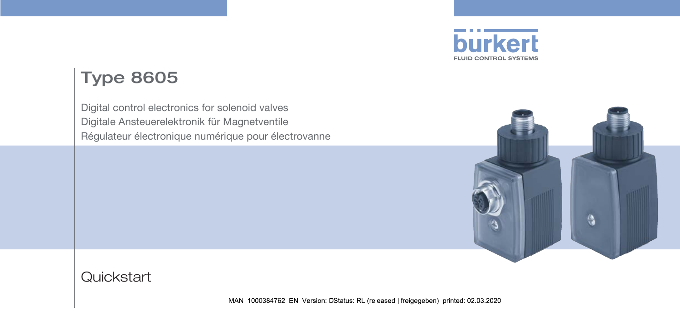

# Type 8605

Digital control electronics for solenoid valves Digitale Ansteuerelektronik für Magnetventile Régulateur électronique numérique pour électrovanne



#### **Quickstart**

MAN 1000384762 EN Version: DStatus: RL (released | freigegeben) printed: 02 03 2020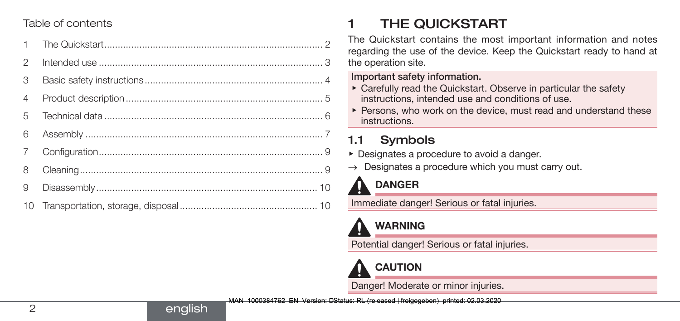#### Table of contents

| $\mathcal{P}$  |  |
|----------------|--|
| 3              |  |
| $\overline{4}$ |  |
| $\overline{5}$ |  |
| 6              |  |
| $\overline{7}$ |  |
| 8              |  |
| 9              |  |
|                |  |

english

# 1 THE QUICKSTART

The Quickstart contains the most important information and notes regarding the use of the device. Keep the Quickstart ready to hand at the operation site.

#### Important safety information.

- ▶ Carefully read the Quickstart. Observe in particular the safety instructions, intended use and conditions of use.
- ▶ Persons, who work on the device, must read and understand these instructions.

# 1.1 Symbols

- ▶ Designates a procedure to avoid a danger.
- $\rightarrow$  Designates a procedure which you must carry out.

# DANGER

Immediate danger! Serious or fatal injuries.

# WARNING

Potential danger! Serious or fatal injuries.



Danger! Moderate or minor injuries.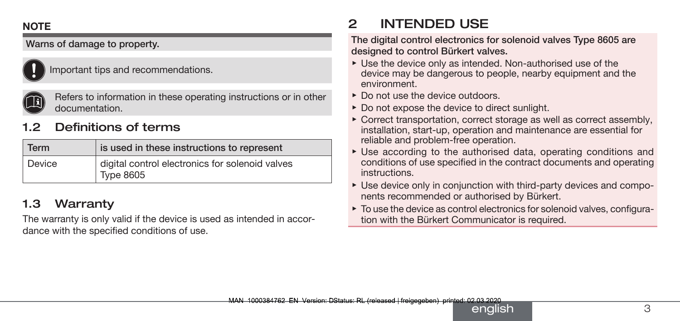#### <span id="page-2-0"></span>**NOTE**

#### Warns of damage to property.



Important tips and recommendations.



Refers to information in these operating instructions or in other documentation.

### Definitions of terms

| <b>Term</b> | is used in these instructions to represent                          |  |  |
|-------------|---------------------------------------------------------------------|--|--|
| l Device    | digital control electronics for solenoid valves<br><b>Type 8605</b> |  |  |

#### 1.3 Warranty

The warranty is only valid if the device is used as intended in accordance with the specified conditions of use.

# 2 INTENDED USE

The digital control electronics for solenoid valves Type 8605 are designed to control Bürkert valves.

- ▶ Use the device only as intended. Non-authorised use of the device may be dangerous to people, nearby equipment and the environment.
- ▶ Do not use the device outdoors.
- ▶ Do not expose the device to direct sunlight.
- ▶ Correct transportation, correct storage as well as correct assembly, installation, start-up, operation and maintenance are essential for reliable and problem-free operation.
- ▶ Use according to the authorised data, operating conditions and conditions of use specified in the contract documents and operating instructions.
- ▶ Use device only in conjunction with third-party devices and components recommended or authorised by Bürkert.
- ▶ To use the device as control electronics for solenoid valves, configuration with the Bürkert Communicator is required.

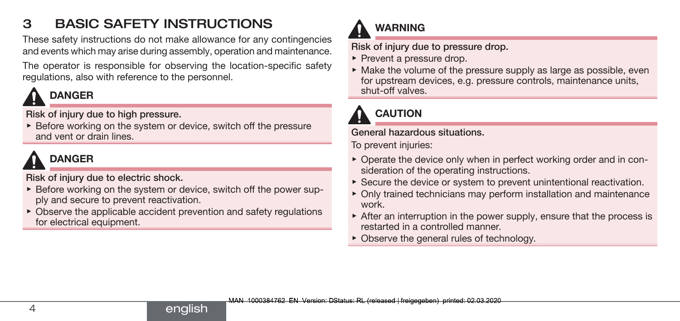# <span id="page-3-0"></span>3 BASIC SAFETY INSTRUCTIONS

These safety instructions do not make allowance for any contingencies and events which may arise during assembly, operation and maintenance.

The operator is responsible for observing the location-specific safety regulations, also with reference to the personnel.

# DANGER

Risk of injury due to high pressure.

▶ Before working on the system or device, switch off the pressure and vent or drain lines.

# DANGER

Risk of injury due to electric shock.

- ▶ Before working on the system or device, switch off the power supply and secure to prevent reactivation.
- $\triangleright$  Observe the applicable accident prevention and safety regulations for electrical equipment.



Risk of injury due to pressure drop.

- ▶ Prevent a pressure drop.
- $\triangleright$  Make the volume of the pressure supply as large as possible, even for upstream devices, e.g. pressure controls, maintenance units, shut-off valves.

# **CAUTION**

#### General hazardous situations.

To prevent injuries:

- ▶ Operate the device only when in perfect working order and in consideration of the operating instructions.
- ▶ Secure the device or system to prevent unintentional reactivation.
- ▶ Only trained technicians may perform installation and maintenance work.
- $\triangleright$  After an interruption in the power supply, ensure that the process is restarted in a controlled manner.
- ▶ Observe the general rules of technology.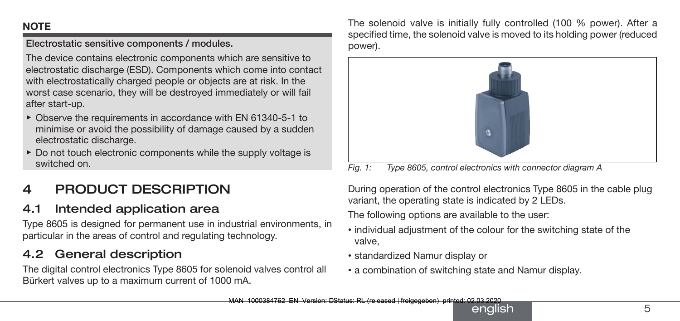#### <span id="page-4-0"></span>**NOTE**

Electrostatic sensitive components / modules.

The device contains electronic components which are sensitive to electrostatic discharge (ESD). Components which come into contact with electrostatically charged people or objects are at risk. In the worst case scenario, they will be destroyed immediately or will fail after start-up.

- ▶ Observe the requirements in accordance with EN 61340-5-1 to minimise or avoid the possibility of damage caused by a sudden electrostatic discharge.
- ▶ Do not touch electronic components while the supply voltage is switched on.

# 4 PRODUCT DESCRIPTION

### 4.1 Intended application area

Type 8605 is designed for permanent use in industrial environments, in particular in the areas of control and regulating technology.

### 4.2 General description

The digital control electronics Type 8605 for solenoid valves control all Bürkert valves up to a maximum current of 1000 mA.

The solenoid valve is initially fully controlled (100 % power). After a specified time, the solenoid valve is moved to its holding power (reduced power).



*Fig. 1: Type 8605, control electronics with connector diagram A*

During operation of the control electronics Type 8605 in the cable plug variant, the operating state is indicated by 2 LEDs.

The following options are available to the user:

- individual adjustment of the colour for the switching state of the valve,
- standardized Namur display or
- a combination of switching state and Namur display.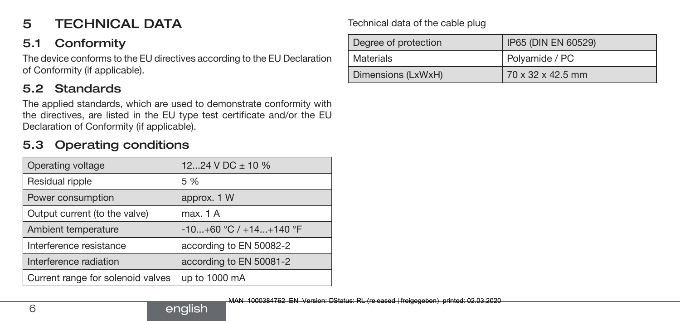## <span id="page-5-0"></span>5 TECHNICAL DATA

### 5.1 Conformity

The device conforms to the EU directives according to the EU Declaration of Conformity (if applicable).

### 5.2 Standards

The applied standards, which are used to demonstrate conformity with the directives, are listed in the EU type test certificate and/or the EU Declaration of Conformity (if applicable).

#### 5.3 Operating conditions

| Operating voltage                 | 1224 V DC $\pm$ 10 %       |  |  |  |
|-----------------------------------|----------------------------|--|--|--|
| Residual ripple                   | 5 %                        |  |  |  |
| Power consumption                 | approx. 1 W                |  |  |  |
| Output current (to the valve)     | max. 1 A                   |  |  |  |
| Ambient temperature               | $-10+60$ °C / $+14+140$ °F |  |  |  |
| Interference resistance           | according to EN 50082-2    |  |  |  |
| Interference radiation            | according to EN 50081-2    |  |  |  |
| Current range for solenoid valves | up to 1000 mA              |  |  |  |
|                                   |                            |  |  |  |

#### Technical data of the cable plug

| Degree of protection | IP65 (DIN EN 60529) |  |  |
|----------------------|---------------------|--|--|
| Materials            | Polyamide / PC      |  |  |
| Dimensions (LxWxH)   | 70 x 32 x 42.5 mm   |  |  |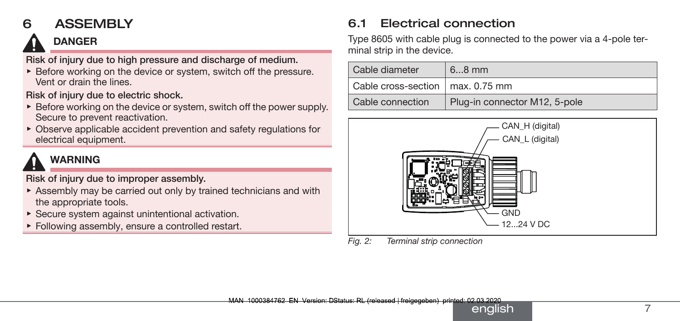### <span id="page-6-0"></span>6 ASSEMBLY

# DANGER

Risk of injury due to high pressure and discharge of medium.

▶ Before working on the device or system, switch off the pressure. Vent or drain the lines.

Risk of injury due to electric shock.

- ▶ Before working on the device or system, switch off the power supply. Secure to prevent reactivation.
- $\triangleright$  Observe applicable accident prevention and safety regulations for electrical equipment.

# WARNING

Risk of injury due to improper assembly.

- ▶ Assembly may be carried out only by trained technicians and with the appropriate tools.
- $\blacktriangleright$  Secure system against unintentional activation.
- ▶ Following assembly, ensure a controlled restart.

### 6.1 Electrical connection

Type 8605 with cable plug is connected to the power via a 4-pole terminal strip in the device.

| Cable diameter                     | $68$ mm                       |
|------------------------------------|-------------------------------|
| Cable cross-section   max. 0.75 mm |                               |
| Cable connection                   | Plug-in connector M12, 5-pole |



*Fig. 2: Terminal strip connection*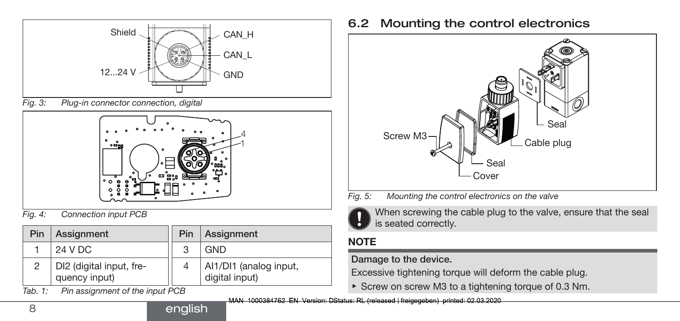

*Fig. 3: Plug-in connector connection, digital*



*Fig. 4: Connection input PCB*

| Pin | Assignment                                | Pin | Assignment                               |
|-----|-------------------------------------------|-----|------------------------------------------|
|     | 24 V DC                                   | 3   | <b>GND</b>                               |
| っ   | DI2 (digital input, fre-<br>quency input) |     | Al1/DI1 (analog input,<br>digital input) |

*Tab. 1: Pin assignment of the input PCB*

#### 6.2 Mounting the control electronics



- *Fig. 5: Mounting the control electronics on the valve*
	- When screwing the cable plug to the valve, ensure that the seal is seated correctly.

#### **NOTE**

#### Damage to the device.

Excessive tightening torque will deform the cable plug.

▶ Screw on screw M3 to a tightening torque of 0.3 Nm.

MAN 1000384762 EN Version: DStatus: RL (released | freigegeben) printed: 02.03.2020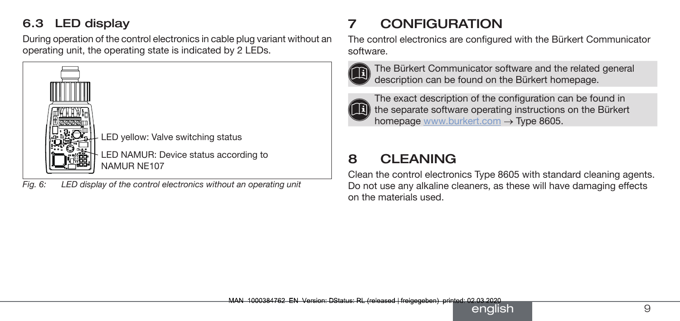### <span id="page-8-0"></span>6.3 LED display

During operation of the control electronics in cable plug variant without an operating unit, the operating state is indicated by 2 LEDs.



*Fig. 6: LED display of the control electronics without an operating unit*

# **CONFIGURATION**

The control electronics are configured with the Bürkert Communicator software.



The Bürkert Communicator software and the related general description can be found on the Bürkert homepage.



The exact description of the configuration can be found in  $(16)$  the separate software operating instructions on the Bürkert homepage www.burkert.com → Type 8605.

# 8 CLEANING

Clean the control electronics Type 8605 with standard cleaning agents. Do not use any alkaline cleaners, as these will have damaging effects on the materials used.

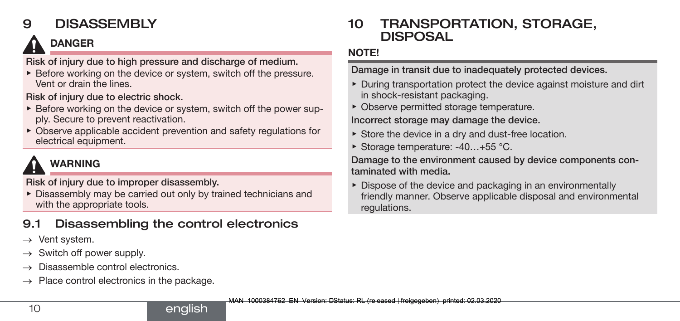# <span id="page-9-0"></span>9 DISASSEMBLY

# DANGER

Risk of injury due to high pressure and discharge of medium.

▶ Before working on the device or system, switch off the pressure. Vent or drain the lines.

Risk of injury due to electric shock.

- ▶ Before working on the device or system, switch off the power supply. Secure to prevent reactivation.
- $\triangleright$  Observe applicable accident prevention and safety regulations for electrical equipment.

# WARNING

Risk of injury due to improper disassembly.

▶ Disassembly may be carried out only by trained technicians and with the appropriate tools.

english

## 9.1 Disassembling the control electronics

 $\rightarrow$  Vent system.

- Switch off power supply.
- Disassemble control electronics.
- $\rightarrow$  Place control electronics in the package.

### 10 TRANSPORTATION, STORAGE, DISPOSAL

#### NOTE!

Damage in transit due to inadequately protected devices.

- ▶ During transportation protect the device against moisture and dirt in shock-resistant packaging.
- ▶ Observe permitted storage temperature.

Incorrect storage may damage the device.

- ▶ Store the device in a dry and dust-free location.
- ▶ Storage temperature: -40...+55 °C.

Damage to the environment caused by device components contaminated with media.

▶ Dispose of the device and packaging in an environmentally friendly manner. Observe applicable disposal and environmental regulations.